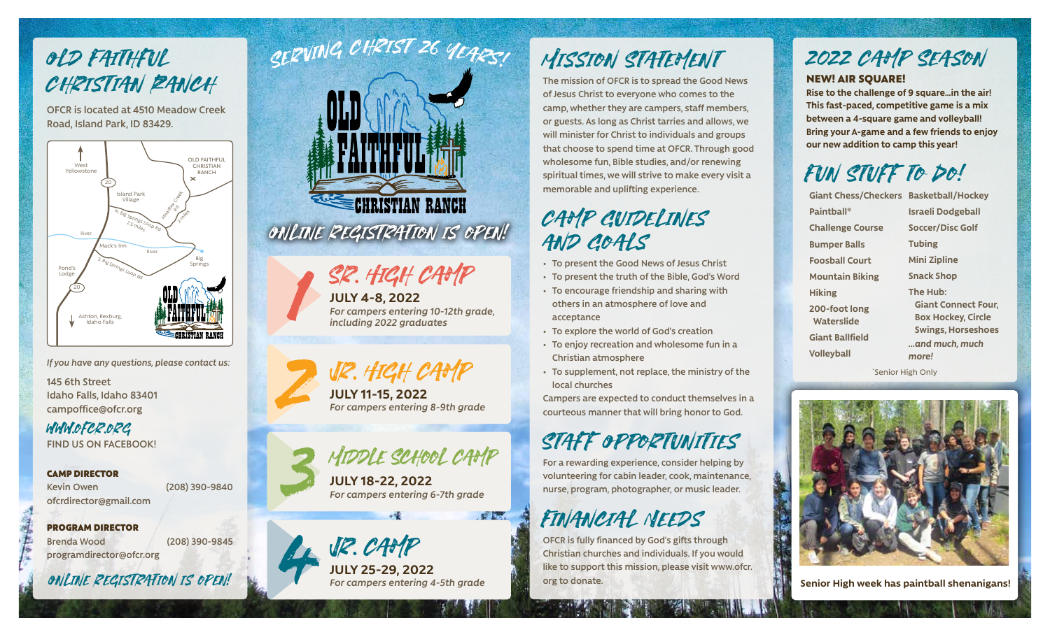# Old Faithful CHRISTIAN RANCH

**OFCR is located at 4510 Meadow Creek Road, Island Park, ID 83429.**



*If you have any questions, please contact us:*

**145 6th Street Idaho Falls, Idaho 83401 campoffice@ofcr.org**

www.ofcr.org **FIND US ON FACEBOOK!**

CAMP DIRECTOR **Kevin Owen (208) 390-9840 ofcrdirector@gmail.com** 

PROGRAM DIRECTOR **Brenda Wood (208) 390-9845 programdirector@ofcr.org**

Online registration is open!



# Sr. High Camp

**JULY 4-8, 2022**  *For campers entering 10-12th grade, including 2022 graduates*



**JULY 11-15, 2022**  *For campers entering 8-9th grade* 

Middle School Camp

**JULY 18-22, 2022**  *For campers entering 6-7th grade* 



**JULY 25-29, 2022** 

 $\mathbb{R}$   $\mathbb{R}$ 

# MISSION STATEMENT

**The mission of OFCR is to spread the Good News of Jesus Christ to everyone who comes to the camp, whether they are campers, staff members, or guests. As long as Christ tarries and allows, we will minister for Christ to individuals and groups that choose to spend time at OFCR. Through good wholesome fun, Bible studies, and/or renewing spiritual times, we will strive to make every visit a memorable and uplifting experience.**

### CAMP GUIDELINES AND COALS

- **• To present the Good News of Jesus Christ**
- **• To present the truth of the Bible, God's Word**
- **• To encourage friendship and sharing with others in an atmosphere of love and acceptance**
- **• To explore the world of God's creation**
- **• To enjoy recreation and wholesome fun in a Christian atmosphere**
- **• To supplement, not replace, the ministry of the local churches**

**Campers are expected to conduct themselves in a courteous manner that will bring honor to God.**

# Staff Opportunities

**For a rewarding experience, consider helping by volunteering for cabin leader, cook, maintenance, nurse, program, photographer, or music leader.** 

# Financial Needs

**OFCR is fully financed by God's gifts through Christian churches and individuals. If you would like to support this mission, please visit www.ofcr. org to donate.**

# 2022 CAMP SEASON

NEW! AIR SQUARE!

**Rise to the challenge of 9 square…in the air! This fast-paced, competitive game is a mix between a 4-square game and volleyball! Bring your A-game and a few friends to enjoy our new addition to camp this year!**

# Fun Stuff to Do!

**Giant Chess/Checkers Basketball/Hockey Paintball\* Challenge Course Bumper Balls Foosball Court Mountain Biking Hiking 200-foot long Waterslide Giant Ballfield Volleyball Israeli Dodgeball Soccer/Disc Golf Tubing Mini Zipline Snack Shop The Hub: Giant Connect Four, Box Hockey, Circle Swings, Horseshoes** *...and much, much more!*

\* Senior High Only



**For campers entering 4-5th grade <b>the senior High week has paintball shenanigans!**